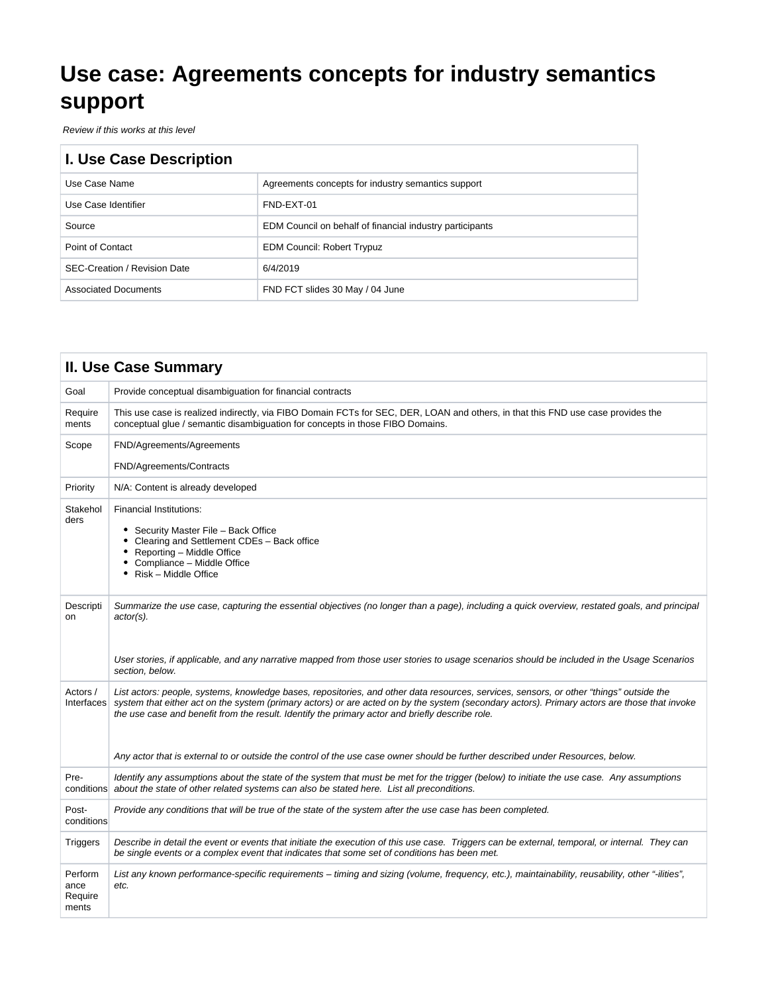# **Use case: Agreements concepts for industry semantics support**

Review if this works at this level

| I. Use Case Description             |                                                          |  |  |  |
|-------------------------------------|----------------------------------------------------------|--|--|--|
| Use Case Name                       | Agreements concepts for industry semantics support       |  |  |  |
| Use Case Identifier                 | FND-EXT-01                                               |  |  |  |
| Source                              | EDM Council on behalf of financial industry participants |  |  |  |
| Point of Contact                    | <b>EDM Council: Robert Trypuz</b>                        |  |  |  |
| <b>SEC-Creation / Revision Date</b> | 6/4/2019                                                 |  |  |  |
| <b>Associated Documents</b>         | FND FCT slides 30 May / 04 June                          |  |  |  |

|                                     | <b>II. Use Case Summary</b>                                                                                                                                                                                                                                                                                                                                                                                                                                                                                                  |
|-------------------------------------|------------------------------------------------------------------------------------------------------------------------------------------------------------------------------------------------------------------------------------------------------------------------------------------------------------------------------------------------------------------------------------------------------------------------------------------------------------------------------------------------------------------------------|
| Goal                                | Provide conceptual disambiguation for financial contracts                                                                                                                                                                                                                                                                                                                                                                                                                                                                    |
| Require<br>ments                    | This use case is realized indirectly, via FIBO Domain FCTs for SEC, DER, LOAN and others, in that this FND use case provides the<br>conceptual glue / semantic disambiguation for concepts in those FIBO Domains.                                                                                                                                                                                                                                                                                                            |
| Scope                               | FND/Agreements/Agreements<br>FND/Agreements/Contracts                                                                                                                                                                                                                                                                                                                                                                                                                                                                        |
| Priority                            | N/A: Content is already developed                                                                                                                                                                                                                                                                                                                                                                                                                                                                                            |
| Stakehol<br>ders                    | <b>Financial Institutions:</b><br>• Security Master File - Back Office<br>$\bullet$<br>Clearing and Settlement CDEs - Back office<br>Reporting - Middle Office<br>$\bullet$<br>• Compliance - Middle Office<br>• Risk - Middle Office                                                                                                                                                                                                                                                                                        |
| Descripti<br>on                     | Summarize the use case, capturing the essential objectives (no longer than a page), including a quick overview, restated goals, and principal<br>actor(s).<br>User stories, if applicable, and any narrative mapped from those user stories to usage scenarios should be included in the Usage Scenarios<br>section, below.                                                                                                                                                                                                  |
| Actors /<br>Interfaces              | List actors: people, systems, knowledge bases, repositories, and other data resources, services, sensors, or other "things" outside the<br>system that either act on the system (primary actors) or are acted on by the system (secondary actors). Primary actors are those that invoke<br>the use case and benefit from the result. Identify the primary actor and briefly describe role.<br>Any actor that is external to or outside the control of the use case owner should be further described under Resources, below. |
| Pre-                                | Identify any assumptions about the state of the system that must be met for the trigger (below) to initiate the use case. Any assumptions<br>conditions about the state of other related systems can also be stated here. List all preconditions.                                                                                                                                                                                                                                                                            |
| Post-<br>conditions                 | Provide any conditions that will be true of the state of the system after the use case has been completed.                                                                                                                                                                                                                                                                                                                                                                                                                   |
| <b>Triggers</b>                     | Describe in detail the event or events that initiate the execution of this use case. Triggers can be external, temporal, or internal. They can<br>be single events or a complex event that indicates that some set of conditions has been met.                                                                                                                                                                                                                                                                               |
| Perform<br>ance<br>Require<br>ments | List any known performance-specific requirements – timing and sizing (volume, frequency, etc.), maintainability, reusability, other "-ilities",<br>etc.                                                                                                                                                                                                                                                                                                                                                                      |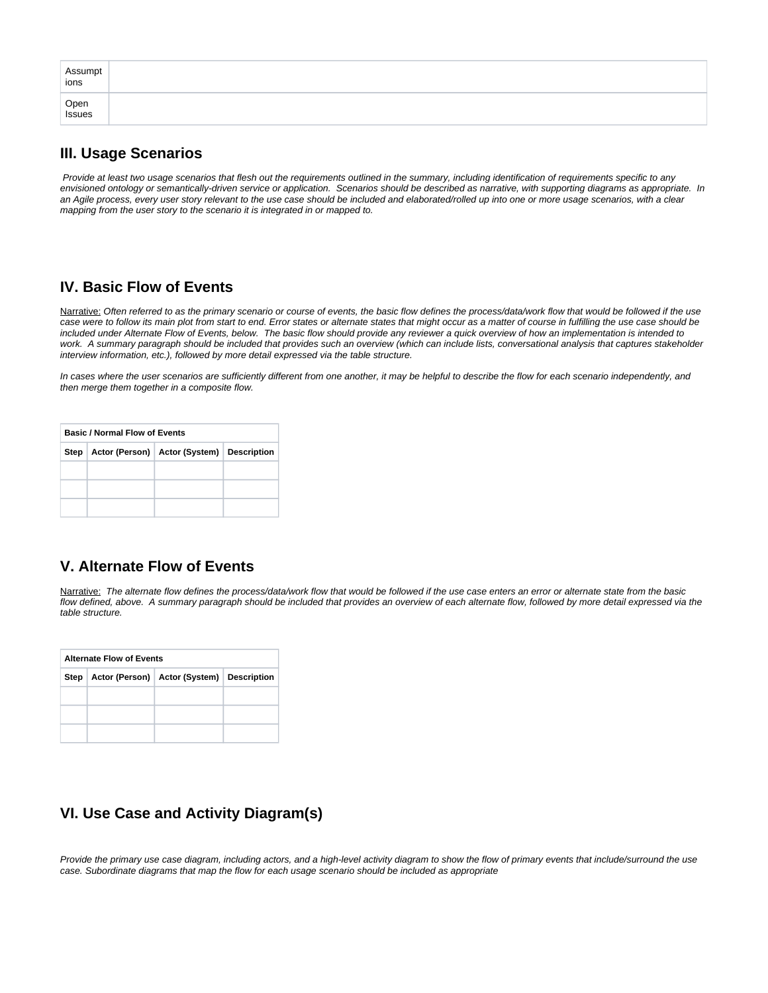| Assumpt<br>ions |  |
|-----------------|--|
| Open<br>Issues  |  |

## **III. Usage Scenarios**

Provide at least two usage scenarios that flesh out the requirements outlined in the summary, including identification of requirements specific to any envisioned ontology or semantically-driven service or application. Scenarios should be described as narrative, with supporting diagrams as appropriate. In an Agile process, every user story relevant to the use case should be included and elaborated/rolled up into one or more usage scenarios, with a clear mapping from the user story to the scenario it is integrated in or mapped to.

## **IV. Basic Flow of Events**

Narrative: Often referred to as the primary scenario or course of events, the basic flow defines the process/data/work flow that would be followed if the use case were to follow its main plot from start to end. Error states or alternate states that might occur as a matter of course in fulfilling the use case should be included under Alternate Flow of Events, below. The basic flow should provide any reviewer a quick overview of how an implementation is intended to work. A summary paragraph should be included that provides such an overview (which can include lists, conversational analysis that captures stakeholder interview information, etc.), followed by more detail expressed via the table structure.

In cases where the user scenarios are sufficiently different from one another, it may be helpful to describe the flow for each scenario independently, and then merge them together in a composite flow.

| <b>Basic / Normal Flow of Events</b> |                                                      |  |  |  |  |  |  |  |
|--------------------------------------|------------------------------------------------------|--|--|--|--|--|--|--|
|                                      | Step   Actor (Person)   Actor (System)   Description |  |  |  |  |  |  |  |
|                                      |                                                      |  |  |  |  |  |  |  |
|                                      |                                                      |  |  |  |  |  |  |  |
|                                      |                                                      |  |  |  |  |  |  |  |

# **V. Alternate Flow of Events**

Narrative: The alternate flow defines the process/data/work flow that would be followed if the use case enters an error or alternate state from the basic flow defined, above. A summary paragraph should be included that provides an overview of each alternate flow, followed by more detail expressed via the table structure.

| <b>Alternate Flow of Events</b> |                                               |  |  |  |  |  |  |  |
|---------------------------------|-----------------------------------------------|--|--|--|--|--|--|--|
| Step                            | Actor (Person)   Actor (System)   Description |  |  |  |  |  |  |  |
|                                 |                                               |  |  |  |  |  |  |  |
|                                 |                                               |  |  |  |  |  |  |  |
|                                 |                                               |  |  |  |  |  |  |  |

# **VI. Use Case and Activity Diagram(s)**

Provide the primary use case diagram, including actors, and a high-level activity diagram to show the flow of primary events that include/surround the use case. Subordinate diagrams that map the flow for each usage scenario should be included as appropriate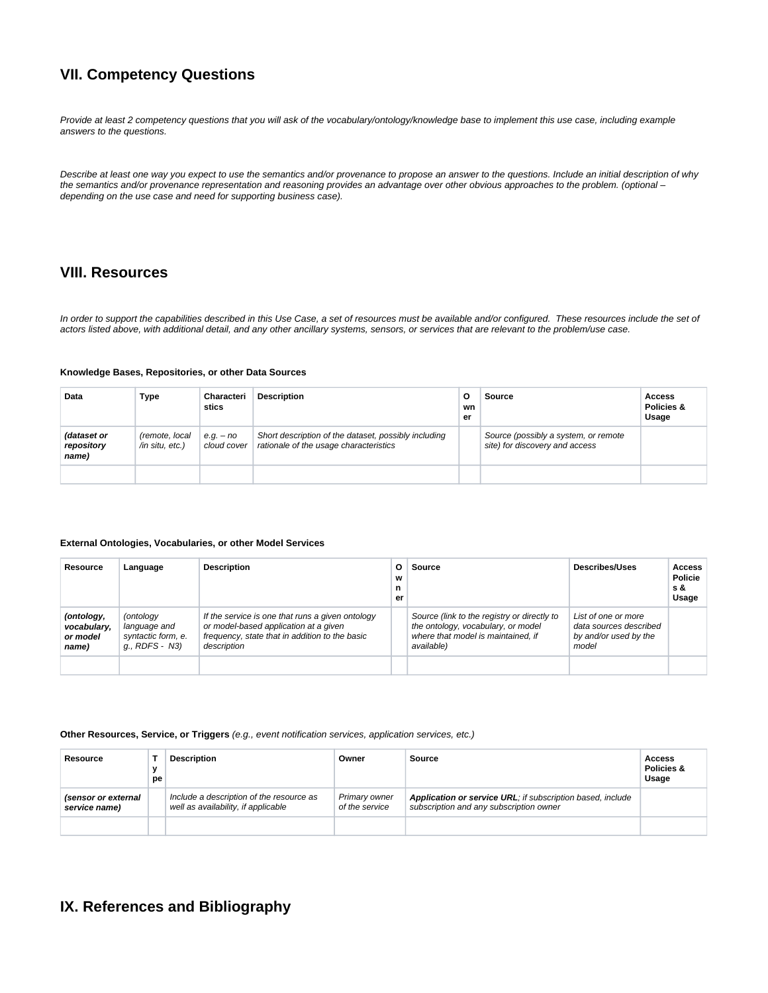## **VII. Competency Questions**

Provide at least 2 competency questions that you will ask of the vocabulary/ontology/knowledge base to implement this use case, including example answers to the questions.

Describe at least one way you expect to use the semantics and/or provenance to propose an answer to the questions. Include an initial description of why the semantics and/or provenance representation and reasoning provides an advantage over other obvious approaches to the problem. (optional – depending on the use case and need for supporting business case).

### **VIII. Resources**

In order to support the capabilities described in this Use Case, a set of resources must be available and/or configured. These resources include the set of actors listed above, with additional detail, and any other ancillary systems, sensors, or services that are relevant to the problem/use case.

#### **Knowledge Bases, Repositories, or other Data Sources**

| Data                               | Type                              | Characteri<br>stics        | <b>Description</b>                                                                             | o<br>wn<br>er | <b>Source</b>                                                          | Access<br>Policies &<br>Usage |
|------------------------------------|-----------------------------------|----------------------------|------------------------------------------------------------------------------------------------|---------------|------------------------------------------------------------------------|-------------------------------|
| (dataset or<br>repository<br>name) | (remote, local<br>/in situ, etc.) | $e.q. - no$<br>cloud cover | Short description of the dataset, possibly including<br>rationale of the usage characteristics |               | Source (possibly a system, or remote<br>site) for discovery and access |                               |
|                                    |                                   |                            |                                                                                                |               |                                                                        |                               |

#### **External Ontologies, Vocabularies, or other Model Services**

| Resource                                       | Language                                                          | <b>Description</b>                                                                                                                                         | O<br>W<br>n<br>er | <b>Source</b>                                                                                                                         | <b>Describes/Uses</b>                                                           | <b>Access</b><br><b>Policie</b><br>s &<br>Usage |
|------------------------------------------------|-------------------------------------------------------------------|------------------------------------------------------------------------------------------------------------------------------------------------------------|-------------------|---------------------------------------------------------------------------------------------------------------------------------------|---------------------------------------------------------------------------------|-------------------------------------------------|
| (ontology,<br>vocabulary,<br>or model<br>name) | (ontology<br>language and<br>syntactic form, e.<br>q., RDFS - N3) | If the service is one that runs a given ontology<br>or model-based application at a given<br>frequency, state that in addition to the basic<br>description |                   | Source (link to the registry or directly to<br>the ontology, vocabulary, or model<br>where that model is maintained, if<br>available) | List of one or more<br>data sources described<br>by and/or used by the<br>model |                                                 |
|                                                |                                                                   |                                                                                                                                                            |                   |                                                                                                                                       |                                                                                 |                                                 |

#### **Other Resources, Service, or Triggers** (e.g., event notification services, application services, etc.)

| Resource                             | v<br>pe | <b>Description</b>                                                              | Owner                           | Source                                                                                                | Access<br>Policies &<br>Usage |
|--------------------------------------|---------|---------------------------------------------------------------------------------|---------------------------------|-------------------------------------------------------------------------------------------------------|-------------------------------|
| (sensor or external<br>service name) |         | Include a description of the resource as<br>well as availability, if applicable | Primary owner<br>of the service | Application or service URL; if subscription based, include<br>subscription and any subscription owner |                               |
|                                      |         |                                                                                 |                                 |                                                                                                       |                               |

# **IX. References and Bibliography**